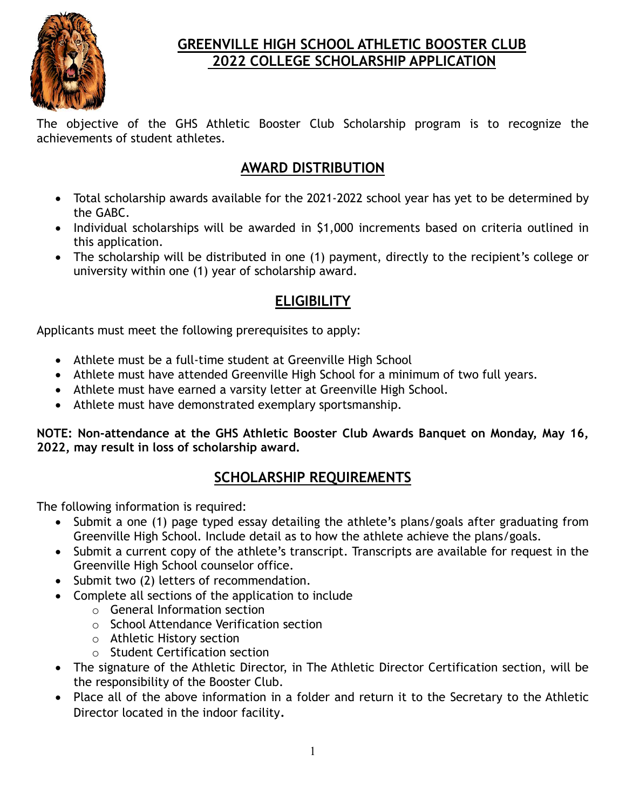

# **GREENVILLE HIGH SCHOOL ATHLETIC BOOSTER CLUB 2022 COLLEGE SCHOLARSHIP APPLICATION**

The objective of the GHS Athletic Booster Club Scholarship program is to recognize the achievements of student athletes.

# **AWARD DISTRIBUTION**

- Total scholarship awards available for the 2021-2022 school year has yet to be determined by the GABC.
- Individual scholarships will be awarded in \$1,000 increments based on criteria outlined in this application.
- The scholarship will be distributed in one (1) payment, directly to the recipient's college or university within one (1) year of scholarship award.

# **ELIGIBILITY**

Applicants must meet the following prerequisites to apply:

- Athlete must be a full-time student at Greenville High School
- Athlete must have attended Greenville High School for a minimum of two full years.
- Athlete must have earned a varsity letter at Greenville High School.
- Athlete must have demonstrated exemplary sportsmanship.

**NOTE: Non-attendance at the GHS Athletic Booster Club Awards Banquet on Monday, May 16, 2022, may result in loss of scholarship award.**

# **SCHOLARSHIP REQUIREMENTS**

The following information is required:

- Submit a one (1) page typed essay detailing the athlete's plans/goals after graduating from Greenville High School. Include detail as to how the athlete achieve the plans/goals.
- Submit a current copy of the athlete's transcript. Transcripts are available for request in the Greenville High School counselor office.
- Submit two (2) letters of recommendation.
- Complete all sections of the application to include
	- o General Information section
	- o School Attendance Verification section
	- o Athletic History section
	- o Student Certification section
- The signature of the Athletic Director, in The Athletic Director Certification section, will be the responsibility of the Booster Club.
- Place all of the above information in a folder and return it to the Secretary to the Athletic Director located in the indoor facility.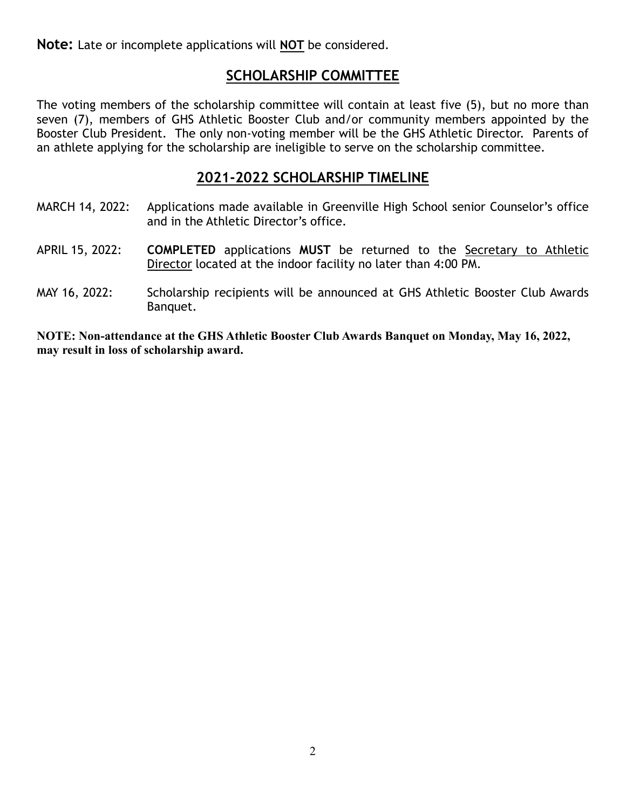**Note:** Late or incomplete applications will **NOT** be considered.

### **SCHOLARSHIP COMMITTEE**

The voting members of the scholarship committee will contain at least five (5), but no more than seven (7), members of GHS Athletic Booster Club and/or community members appointed by the Booster Club President. The only non-voting member will be the GHS Athletic Director. Parents of an athlete applying for the scholarship are ineligible to serve on the scholarship committee.

#### **2021-2022 SCHOLARSHIP TIMELINE**

- MARCH 14, 2022: Applications made available in Greenville High School senior Counselor's office and in the Athletic Director's office.
- APRIL 15, 2022: **COMPLETED** applications **MUST** be returned to the Secretary to Athletic Director located at the indoor facility no later than 4:00 PM.
- MAY 16, 2022: Scholarship recipients will be announced at GHS Athletic Booster Club Awards Banquet.

**NOTE: Non-attendance at the GHS Athletic Booster Club Awards Banquet on Monday, May 16, 2022, may result in loss of scholarship award.**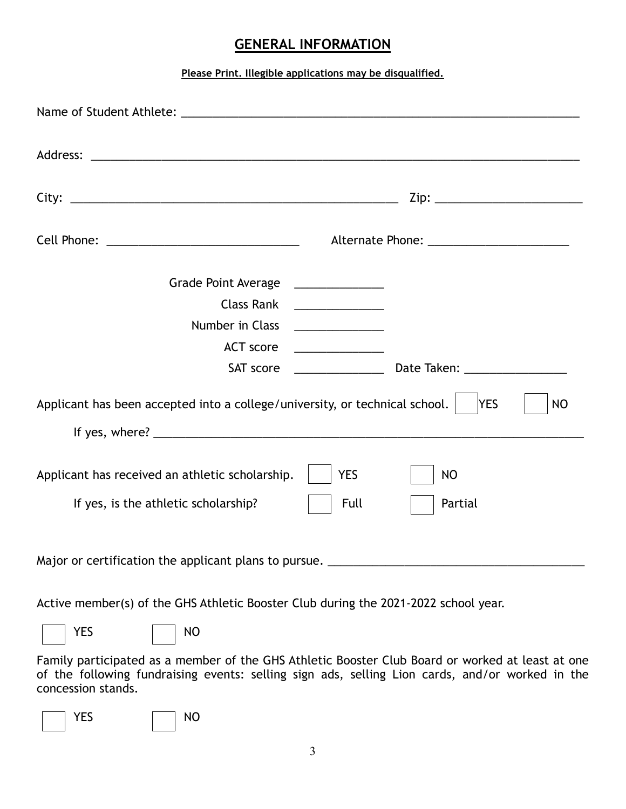#### **GENERAL INFORMATION**

#### **Please Print. Illegible applications may be disqualified.**

| Cell Phone: __________________________________                                                         |                         |  |  |  |  |  |
|--------------------------------------------------------------------------------------------------------|-------------------------|--|--|--|--|--|
| Grade Point Average<br><b>Class Rank</b>                                                               |                         |  |  |  |  |  |
| Number in Class                                                                                        |                         |  |  |  |  |  |
| <b>ACT</b> score                                                                                       |                         |  |  |  |  |  |
| SAT score                                                                                              |                         |  |  |  |  |  |
| Applicant has been accepted into a college/university, or technical school.<br><b>YES</b><br><b>NO</b> |                         |  |  |  |  |  |
|                                                                                                        |                         |  |  |  |  |  |
| Applicant has received an athletic scholarship.                                                        | <b>YES</b><br><b>NO</b> |  |  |  |  |  |
| If yes, is the athletic scholarship?                                                                   | Full<br>Partial         |  |  |  |  |  |
| Major or certification the applicant plans to pursue.                                                  |                         |  |  |  |  |  |

Active member(s) of the GHS Athletic Booster Club during the 2021-2022 school year.

| YES | <b>NO</b> |
|-----|-----------|
|     |           |

Family participated as a member of the GHS Athletic Booster Club Board or worked at least at one of the following fundraising events: selling sign ads, selling Lion cards, and/or worked in the concession stands.

| -- |  |  |
|----|--|--|
|    |  |  |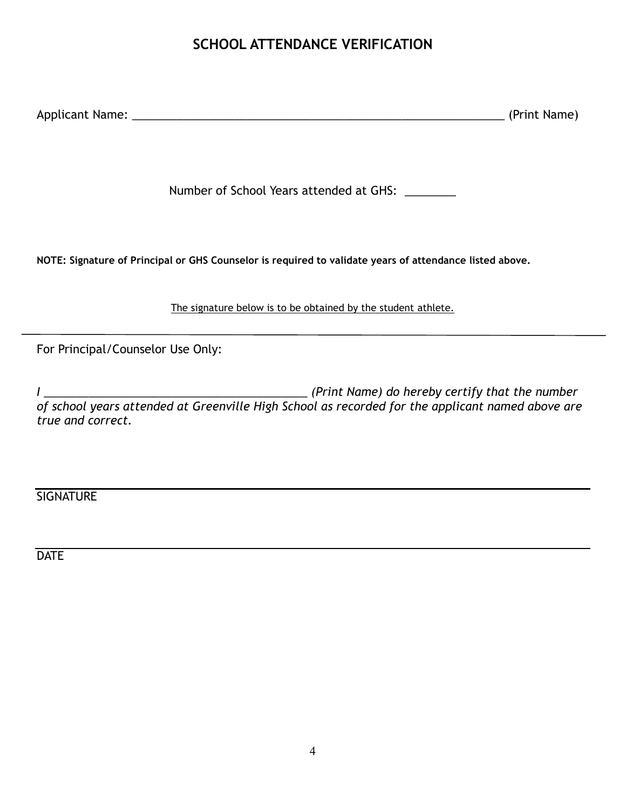### **SCHOOL ATTENDANCE VERIFICATION**

Applicant Name: \_\_\_\_\_\_\_\_\_\_\_\_\_\_\_\_\_\_\_\_\_\_\_\_\_\_\_\_\_\_\_\_\_\_\_\_\_\_\_\_\_\_\_\_\_\_\_\_\_\_\_\_\_\_\_\_\_\_ (Print Name)

Number of School Years attended at GHS:

**NOTE: Signature of Principal or GHS Counselor is required to validate years of attendance listed above.**

The signature below is to be obtained by the student athlete.

For Principal/Counselor Use Only:

*I \_\_\_\_\_\_\_\_\_\_\_\_\_\_\_\_\_\_\_\_\_\_\_\_\_\_\_\_\_\_\_\_\_\_\_\_\_\_\_\_\_ (Print Name) do hereby certify that the number of school years attended at Greenville High School as recorded for the applicant named above are true and correct.*

**SIGNATURE** 

**DATE**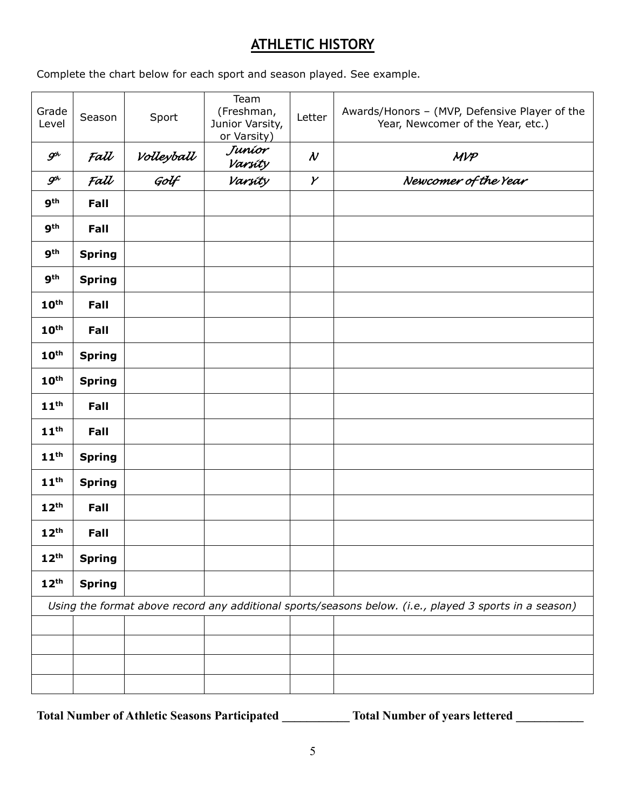# **ATHLETIC HISTORY**

Complete the chart below for each sport and season played. See example.

| Grade<br>Level                                                                                         | Season        | Sport              | Team<br>(Freshman,<br>Junior Varsity,<br>or Varsity) | Letter                     | Awards/Honors - (MVP, Defensive Player of the<br>Year, Newcomer of the Year, etc.) |  |  |
|--------------------------------------------------------------------------------------------------------|---------------|--------------------|------------------------------------------------------|----------------------------|------------------------------------------------------------------------------------|--|--|
| $\mathcal{G}^{\!\mathit{h}}$                                                                           | Fall          | Volleyball<br>Golf | Juníor<br>Varsity                                    | $\boldsymbol{\mathcal{N}}$ | MVP                                                                                |  |  |
| $\mathcal{G}^{\!\mathit{h}}$                                                                           | Fall          |                    | Varsity                                              | $\boldsymbol{\mathcal{V}}$ | Newcomer of the Year                                                               |  |  |
| <b>gth</b>                                                                                             | Fall          |                    |                                                      |                            |                                                                                    |  |  |
| <b>gth</b>                                                                                             | Fall          |                    |                                                      |                            |                                                                                    |  |  |
| 9 <sup>th</sup>                                                                                        | <b>Spring</b> |                    |                                                      |                            |                                                                                    |  |  |
| <b>gth</b>                                                                                             | <b>Spring</b> |                    |                                                      |                            |                                                                                    |  |  |
| 10 <sup>th</sup>                                                                                       | Fall          |                    |                                                      |                            |                                                                                    |  |  |
| 10 <sup>th</sup>                                                                                       | Fall          |                    |                                                      |                            |                                                                                    |  |  |
| 10 <sup>th</sup>                                                                                       | <b>Spring</b> |                    |                                                      |                            |                                                                                    |  |  |
| 10 <sup>th</sup>                                                                                       | <b>Spring</b> |                    |                                                      |                            |                                                                                    |  |  |
| 11 <sup>th</sup>                                                                                       | Fall          |                    |                                                      |                            |                                                                                    |  |  |
| 11 <sup>th</sup>                                                                                       | Fall          |                    |                                                      |                            |                                                                                    |  |  |
| 11 <sup>th</sup>                                                                                       | <b>Spring</b> |                    |                                                      |                            |                                                                                    |  |  |
| 11 <sup>th</sup>                                                                                       | <b>Spring</b> |                    |                                                      |                            |                                                                                    |  |  |
| 12 <sup>th</sup>                                                                                       | Fall          |                    |                                                      |                            |                                                                                    |  |  |
| 12 <sup>th</sup>                                                                                       | Fall          |                    |                                                      |                            |                                                                                    |  |  |
| 12 <sup>th</sup>                                                                                       | <b>Spring</b> |                    |                                                      |                            |                                                                                    |  |  |
| 12 <sup>th</sup>                                                                                       | <b>Spring</b> |                    |                                                      |                            |                                                                                    |  |  |
| Using the format above record any additional sports/seasons below. (i.e., played 3 sports in a season) |               |                    |                                                      |                            |                                                                                    |  |  |
|                                                                                                        |               |                    |                                                      |                            |                                                                                    |  |  |
|                                                                                                        |               |                    |                                                      |                            |                                                                                    |  |  |
|                                                                                                        |               |                    |                                                      |                            |                                                                                    |  |  |
|                                                                                                        |               |                    |                                                      |                            |                                                                                    |  |  |

**Total Number of Athletic Seasons Participated \_\_\_\_\_\_\_\_\_\_\_ Total Number of years lettered \_\_\_\_\_\_\_\_\_\_\_**